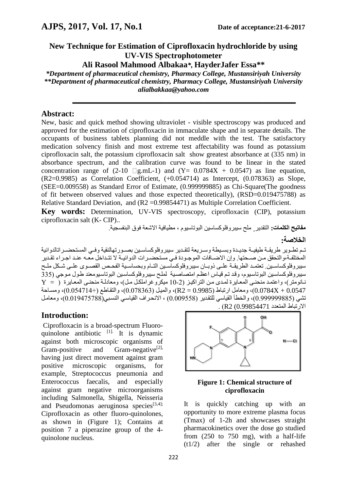# **New Technique for Estimation of Ciprofloxacin hydrochloride by using UV-VIS Spectrophotometer**

**Ali Rasool Mahmood Albakaa***\*,* **HayderJafer Essa\*\***

*\*Department of pharmaceutical chemistry, Pharmacy College, Mustansiriyah University \*\*Department of pharmaceutical chemistry, Pharmacy College, Mustansiriyah University alialbakkaa@yahoo.com*

**ــــــــــــــــــــــــــــــــــــــــــــــــــــــــــــــــــــــــــــــــــــــــــــــــــــــــــــــــــــــــــــــــــــــــــــــــــــــــــــــــــــــــــــــــــــــــــــــــــــــــــــــــــــــ**

#### **Abstract:**

New, basic and quick method showing ultraviolet - visible spectroscopy was produced and approved for the estimation of ciprofloxacin in immaculate shape and in separate details. The occupants of business tablets planning did not meddle with the test. The satisfactory medication solvency finish and most extreme test affectability was found as potassium ciprofloxacin salt, the potassium ciprofloxacin salt show greatest absorbance at (335 nm) in absorbance spectrum, and the calibration curve was found to be linear in the stated concentration range of  $(2-10 \square g.mL-1)$  and  $(Y= 0.0784X + 0.0547)$  as line equation,  $(R2=0.9985)$  as Correlation Coefficient,  $(+0.054714)$  as Intercept,  $(0.078363)$  as Slope, (SEE=0.009558) as Standard Error of Estimate, (0.999999885) as Chi-Square(The goodness of fit between observed values and those expected theoretically), (RSD=0.019475788) as Relative Standard Deviation, and (R2 = 0.99854471) as Multiple Correlation Coefficient.

**Key words:** Determination, UV-VIS spectroscopy, ciprofloxacin (CIP), potassium ciprofloxacin salt (K- CIP)..

**مفاتيح الكلمات:** التقدير̧ ملح سيبروفلوكساسين البوتاسيوم , مطيافية االشعة فوق البنفسجية.

**الخالصة:**

تـم تطـوير طريقـة طيفيـة جديـدة وبسـيطـة وسـريعة لتقـدير سيبروفلوكساسـين بصـورتهالنقية وفـي المستحضـراتالدوائية المختلفـة،والتحقق مـن صـحتها. وإن الاضــافات الموجـودة فـي مستحضـرات الدوائيــة لا تتـداخل معّــه عنـد اجـراء تقـدير سيبر وفلوكساسـبن. تعتمـد الطريقــة علــي ذوبــان سيبر وفلوكساسـين التــام وبحساسـيـة الفحـص القصــو ي علــي شـكل ملــح سيبروفلوكساسين البوتاسيوم، وقد تم قياس اعظم امتصاصبية لملح سيبروفلوكساسين البوتاسيومعند طول موجى (335 نمانومتر)، واعتمد منحنـي المعـاير ة لمـدي من التر اكيـز (2-10 ميكر و غر املكـل مـل)، ومعادلـة منحنـي المعـاير ة 0.0547 + 0.0784X)، ومعامل ارتباط (0.9985 =  $R2$ )، والميل (0.078363)، والتقاطع (+0.054714)، ومساحة تشي (0.999999885)، والخطأ القياسي للتقدير (0.009558) ، الانحراف القياسي النسبي (19475788)، ومعامل االاتباط المتعد 0.99854471) 2R ).

# **Introduction:**

Ciprofloxacin is a broad-spectrum Fluoroquinolone antibiotic  $[1]$ . It is dynamic against both microscopic organisms of Gram-positive and Gram-negative<sup>[2],</sup> having just direct movement against gram positive microscopic organisms, for example, Streptococcus pneumonia and Enterococcus faecalis, and especially against gram negative microorganisms including Salmonella, Shigella, Neisseria and Pseudomonas aeruginosa species $[3,4]$ ; Ciprofloxacin as other fluoro-quinolones, as shown in (Figure 1); Contains at position 7 a piperazine group of the 4 quinolone nucleus.



#### **Figure 1: Chemical structure of ciprofloxacin**

It is quickly catching up with an opportunity to more extreme plasma focus (Tmax) of 1-2h and showcases straight pharmacokinetics over the dose go studied from (250 to 750 mg), with a half-life (t1/2) after the single or rehashed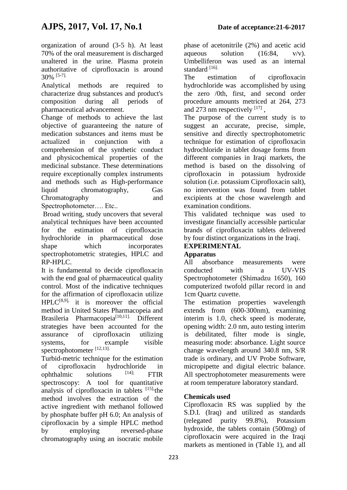organization of around (3-5 h). At least 70% of the oral measurement is discharged unaltered in the urine. Plasma protein authoritative of ciprofloxacin is around 30% [5-7].

Analytical methods are required to characterize drug substances and product's composition during all periods of pharmaceutical advancement.

Change of methods to achieve the last objective of guaranteeing the nature of medication substances and items must be actualized in conjunction with a comprehension of the synthetic conduct and physicochemical properties of the medicinal substance. These determinations require exceptionally complex instruments and methods such as High-performance liquid chromatography, Gas Chromatography and Spectrophotometer…. Etc..

Broad writing, study uncovers that several analytical techniques have been accounted for the estimation of ciprofloxacin hydrochloride in pharmaceutical dose shape which incorporates spectrophotometric strategies, HPLC and

RP-HPLC. It is fundamental to decide ciprofloxacin with the end goal of pharmaceutical quality control. Most of the indicative techniques for the affirmation of ciprofloxacin utilize  $HPLC^{[8,9]}$ , it is moreover the official method in United States Pharmacopeia and Brasileria Pharmacopeia[10,11]. Different strategies have been accounted for the assurance of ciprofloxacin utilizing systems, for example visible spectrophotometer [12,13].

Turbid-metric technique for the estimation of ciprofloxacin hydrochloride in<br>
ophthalmic solutions [14]; FTIR ophthalmic solutions  $[14]$ ; FTIR spectroscopy: A tool for quantitative analysis of ciprofloxacin in tablets  $[15]$ , the method involves the extraction of the active ingredient with methanol followed by phosphate buffer pH 6.0; An analysis of ciprofloxacin by a simple HPLC method by employing reversed-phase chromatography using an isocratic mobile

phase of acetonitrile (2%) and acetic acid aqueous solution  $(16:84, v/v)$ . Umbelliferon was used as an internal standard<sup>[16]</sup>.

The estimation of ciprofloxacin hydrochloride was accomplished by using the zero /0th, first, and second order procedure amounts metriced at 264, 273 and 273 nm respectively  $^{[17]}$ ,

The purpose of the current study is to suggest an accurate, precise, simple, sensitive and directly spectrophotometric technique for estimation of ciprofloxacin hydrochloride in tablet dosage forms from different companies in Iraqi markets, the method is based on the dissolving of ciprofloxacin in potassium hydroxide solution (i.e. potassium Ciprofloxacin salt), no intervention was found from tablet excipients at the chose wavelength and examination conditions.

This validated technique was used to investigate financially accessible particular brands of ciprofloxacin tablets delivered by four distinct organizations in the Iraqi.

# **EXPERIMENTAL**

#### **Apparatus**

All absorbance measurements were conducted with a UV-VIS Spectrophotometer (Shimadzu 1650), 160 computerized twofold pillar record in and 1cm Quartz cuvette.

The estimation properties wavelength extends from (600-300nm), examining interim is 1.0, check speed is moderate, opening width: 2.0 nm, auto testing interim is debilitated, filter mode is single, measuring mode: absorbance. Light source change wavelength around 340.8 nm, S/R trade is ordinary, and UV Probe Software, micropipette and digital electric balance. All spectrophotometer measurements were at room temperature laboratory standard.

#### **Chemicals used**

Ciprofloxacin RS was supplied by the S.D.I. (Iraq) and utilized as standards (relegated purity 99.8%), Potassium hydroxide, the tablets contain (500mg) of ciprofloxacin were acquired in the Iraqi markets as mentioned in (Table 1), and all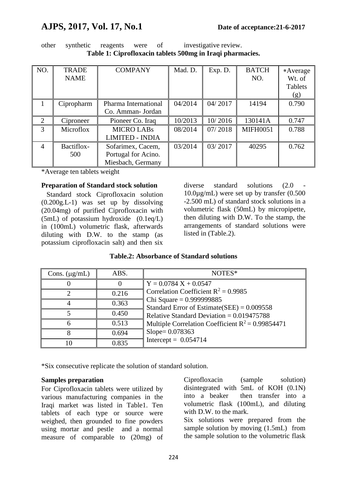# **AJPS, 2017, Vol. 17, No.1 Date of acceptance:21-6-2017**

| other | synthetic | reagents | were | investigative review.                                     |
|-------|-----------|----------|------|-----------------------------------------------------------|
|       |           |          |      | Table 1: Ciprofloxacin tablets 500mg in Iraqi pharmacies. |

| NO.            | <b>TRADE</b><br><b>NAME</b> | <b>COMPANY</b>         | Mad. D. | Exp. D. | <b>BATCH</b><br>NO. | *Average<br>Wt. of<br>Tablets<br>(g) |
|----------------|-----------------------------|------------------------|---------|---------|---------------------|--------------------------------------|
|                | Cipropharm                  | Pharma International   | 04/2014 | 04/2017 | 14194               | 0.790                                |
|                |                             | Co. Amman- Jordan      |         |         |                     |                                      |
| 2              | Ciproneer                   | Pioneer Co. Iraq       | 10/2013 | 10/2016 | 130141A             | 0.747                                |
| 3              | Microflox                   | <b>MICRO LABS</b>      | 08/2014 | 07/2018 | <b>MIFH0051</b>     | 0.788                                |
|                |                             | <b>LIMITED - INDIA</b> |         |         |                     |                                      |
| $\overline{4}$ | Bactiflox-                  | Sofarimex, Cacem,      | 03/2014 | 03/2017 | 40295               | 0.762                                |
|                | 500                         | Portugal for Acino.    |         |         |                     |                                      |
|                |                             | Miesbach, Germany      |         |         |                     |                                      |

\*Average ten tablets weight

#### **Preparation of Standard stock solution**

 Standard stock Ciprofloxacin solution (0.200g.L-1) was set up by dissolving (20.04mg) of purified Ciprofloxacin with (5mL) of potassium hydroxide (0.1eq/L) in (100mL) volumetric flask, afterwards diluting with D.W. to the stamp (as potassium ciprofloxacin salt) and then six

diverse standard solutions (2.0 10.0µg/mL) were set up by transfer (0.500 -2.500 mL) of standard stock solutions in a volumetric flask (50mL) by micropipette, then diluting with D.W. To the stamp, the arrangements of standard solutions were listed in (Table.2).

|  | <b>Table.2: Absorbance of Standard solutions</b> |  |  |
|--|--------------------------------------------------|--|--|
|--|--------------------------------------------------|--|--|

| Cons. $(\mu g/mL)$ | ABS.  | NOTES*                                                                     |
|--------------------|-------|----------------------------------------------------------------------------|
|                    |       | $Y = 0.0784 X + 0.0547$                                                    |
|                    | 0.216 | Correlation Coefficient $R^2 = 0.9985$                                     |
|                    | 0.363 | Chi Square = $0.999999885$<br>Standard Error of Estimate(SEE) = $0.009558$ |
|                    | 0.450 | Relative Standard Deviation = $0.019475788$                                |
|                    | 0.513 | Multiple Correlation Coefficient $R^2 = 0.99854471$                        |
|                    | 0.694 | $Slope = 0.078363$                                                         |
| IO                 | 0.835 | Intercept = $0.054714$                                                     |

\*Six consecutive replicate the solution of standard solution.

#### **Samples preparation**

For Ciprofloxacin tablets were utilized by various manufacturing companies in the Iraqi market was listed in Table1. Ten tablets of each type or source were weighed, then grounded to fine powders using mortar and pestle and a normal measure of comparable to (20mg) of Ciprofloxacin (sample solution) disintegrated with 5mL of KOH (0.1N) into a beaker then transfer into a volumetric flask (100mL), and diluting with D.W. to the mark.

Six solutions were prepared from the sample solution by moving  $(1.5mL)$  from the sample solution to the volumetric flask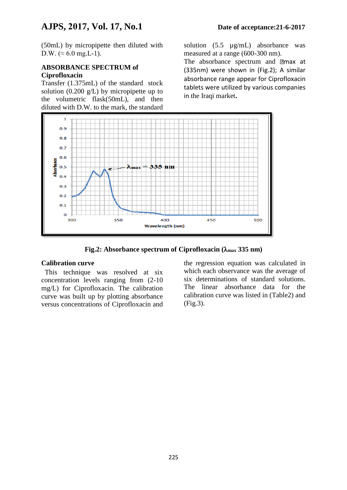(50mL) by micropipette then diluted with D.W. ( $\approx 6.0$  mg.L-1).

#### **ABSORBANCE SPECTRUM of Ciprofloxacin**

Transfer (1.375mL) of the standard stock solution (0.200  $g/L$ ) by micropipette up to the volumetric flask(50mL), and then diluted with D.W. to the mark, the standard

solution (5.5  $\mu$ g/mL) absorbance was measured at a range (600-300 nm).

The absorbance spectrum and **a**max at (335nm) were shown in (Fig.2); A similar absorbance range appear for Ciprofloxacin tablets were utilized by various companies in the Iraqi market**.**



**Fig.2: Absorbance spectrum of Ciprofloxacin (max 335 nm)**

#### **Calibration curve**

 This technique was resolved at six concentration levels ranging from (2-10 mg/L) for Ciprofloxacin. The calibration curve was built up by plotting absorbance versus concentrations of Ciprofloxacin and

the regression equation was calculated in which each observance was the average of six determinations of standard solutions. The linear absorbance data for the calibration curve was listed in (Table2) and (Fig.3).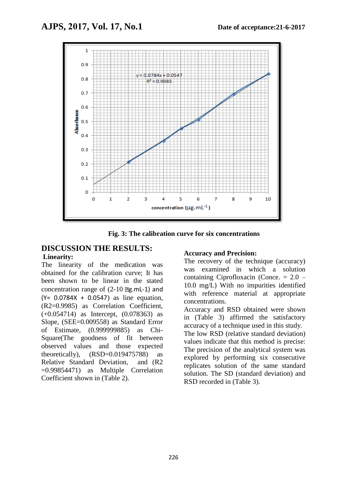

**Fig. 3: The calibration curve for six concentrations**

#### **DISCUSSION THE RESULTS: Linearity:**

The linearity of the medication was obtained for the calibration curve; It has been shown to be linear in the stated concentration range of  $(2-10 \text{ g.mL-1})$  and  $(Y = 0.0784X + 0.0547)$  as line equation, (R2=0.9985) as Correlation Coefficient, (+0.054714) as Intercept, (0.078363) as Slope, (SEE=0.009558) as Standard Error of Estimate, (0.999999885) as Chi-Square(The goodness of fit between observed values and those expected theoretically),  $(RSD=0.019475788)$  as Relative Standard Deviation, and (R2 =0.99854471) as Multiple Correlation Coefficient shown in (Table 2).

#### **Accuracy and Precision:**

The recovery of the technique (accuracy) was examined in which a solution containing Ciprofloxacin (Conce. = 2.0 – 10.0 mg/L) With no impurities identified with reference material at appropriate concentrations.

Accuracy and RSD obtained were shown in (Table 3) affirmed the satisfactory accuracy of a technique used in this study. The low RSD (relative standard deviation) values indicate that this method is precise: The precision of the analytical system was explored by performing six consecutive replicates solution of the same standard solution. The SD (standard deviation) and RSD recorded in (Table 3).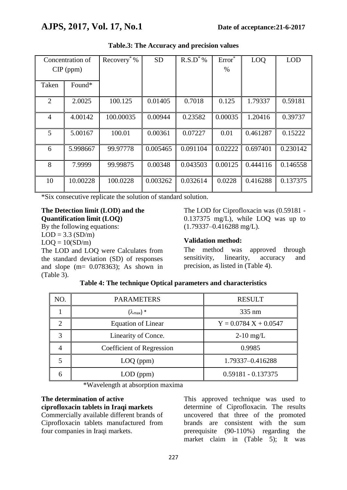| Concentration of<br>$CIP$ (ppm) |          | Recovery <sup>*</sup> $\sqrt[6]{\ }$ | <b>SD</b> | $R.S.D^*$ % | Error <sup>*</sup><br>$\%$ | LOQ      | <b>LOD</b> |
|---------------------------------|----------|--------------------------------------|-----------|-------------|----------------------------|----------|------------|
| Taken                           | Found*   |                                      |           |             |                            |          |            |
| $\overline{2}$                  | 2.0025   | 100.125                              | 0.01405   | 0.7018      | 0.125                      | 1.79337  | 0.59181    |
| $\overline{4}$                  | 4.00142  | 100.00035                            | 0.00944   | 0.23582     | 0.00035                    | 1.20416  | 0.39737    |
| $\mathfrak{H}$                  | 5.00167  | 100.01                               | 0.00361   | 0.07227     | 0.01                       | 0.461287 | 0.15222    |
| 6                               | 5.998667 | 99.97778                             | 0.005465  | 0.091104    | 0.02222                    | 0.697401 | 0.230142   |
| 8                               | 7.9999   | 99.99875                             | 0.00348   | 0.043503    | 0.00125                    | 0.444116 | 0.146558   |
| 10                              | 10.00228 | 100.0228                             | 0.003262  | 0.032614    | 0.0228                     | 0.416288 | 0.137375   |

#### **Table.3: The Accuracy and precision values**

\*Six consecutive replicate the solution of standard solution.

## **The Detection limit (LOD) and the Quantification limit (LOQ)**

By the following equations:  $LOD = 3.3$  (SD/m)  $LOQ = 10(SD/m)$ 

The LOD and LOQ were Calculates from the standard deviation (SD) of responses and slope  $(m= 0.078363)$ ; As shown in (Table 3).

The LOD for Ciprofloxacin was (0.59181 - 0.137375 mg/L), while LOQ was up to (1.79337–0.416288 mg/L).

## **Validation method:**

The method was approved through sensitivity, linearity, accuracy and precision, as listed in (Table 4).

| NO.           | <b>PARAMETERS</b>          | <b>RESULT</b>           |
|---------------|----------------------------|-------------------------|
|               | $(\lambda_{\text{max}})$ * | 335 nm                  |
| $\mathcal{D}$ | <b>Equation of Linear</b>  | $Y = 0.0784 X + 0.0547$ |
| 3             | Linearity of Conce.        | $2-10$ mg/L             |
|               | Coefficient of Regression  | 0.9985                  |
|               | $LOQ$ (ppm)                | 1.79337-0.416288        |
|               | $LOD$ (ppm)                | $0.59181 - 0.137375$    |

|  | Table 4: The technique Optical parameters and characteristics |  |
|--|---------------------------------------------------------------|--|
|  |                                                               |  |

\*Wavelength at absorption maxima

#### **The determination of active**

**ciprofloxacin tablets in Iraqi markets** Commercially available different brands of Ciprofloxacin tablets manufactured from four companies in Iraqi markets.

This approved technique was used to determine of Ciprofloxacin. The results uncovered that three of the promoted brands are consistent with the sum prerequisite (90-110%) regarding the market claim in (Table 5); It was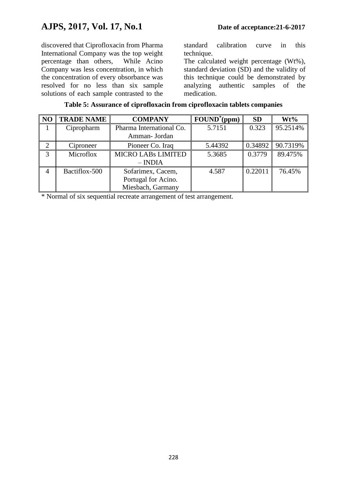discovered that Ciprofloxacin from Pharma International Company was the top weight percentage than others, While Acino Company was less concentration, in which the concentration of every obsorbance was resolved for no less than six sample solutions of each sample contrasted to the

standard calibration curve in this technique.

The calculated weight percentage (Wt%), standard deviation (SD) and the validity of this technique could be demonstrated by analyzing authentic samples of the medication.

| Table 5: Assurance of ciprofloxacin from ciprofloxacin tablets companies |  |  |
|--------------------------------------------------------------------------|--|--|
|                                                                          |  |  |

| N <sub>O</sub> | <b>TRADE NAME</b> | <b>COMPANY</b>            | $\textbf{FOUND}^*(\textbf{ppm})$ | <b>SD</b> | $Wt\%$   |
|----------------|-------------------|---------------------------|----------------------------------|-----------|----------|
|                | Cipropharm        | Pharma International Co.  | 5.7151                           | 0.323     | 95.2514% |
|                |                   | Amman- Jordan             |                                  |           |          |
| $\overline{2}$ | Ciproneer         | Pioneer Co. Iraq          | 5.44392                          | 0.34892   | 90.7319% |
| 3              | Microflox         | <b>MICRO LABS LIMITED</b> | 5.3685                           | 0.3779    | 89.475%  |
|                |                   | $-$ INDIA                 |                                  |           |          |
| 4              | Bactiflox-500     | Sofarimex, Cacem,         | 4.587                            | 0.22011   | 76.45%   |
|                |                   | Portugal for Acino.       |                                  |           |          |
|                |                   | Miesbach, Garmany         |                                  |           |          |

\* Normal of six sequential recreate arrangement of test arrangement.